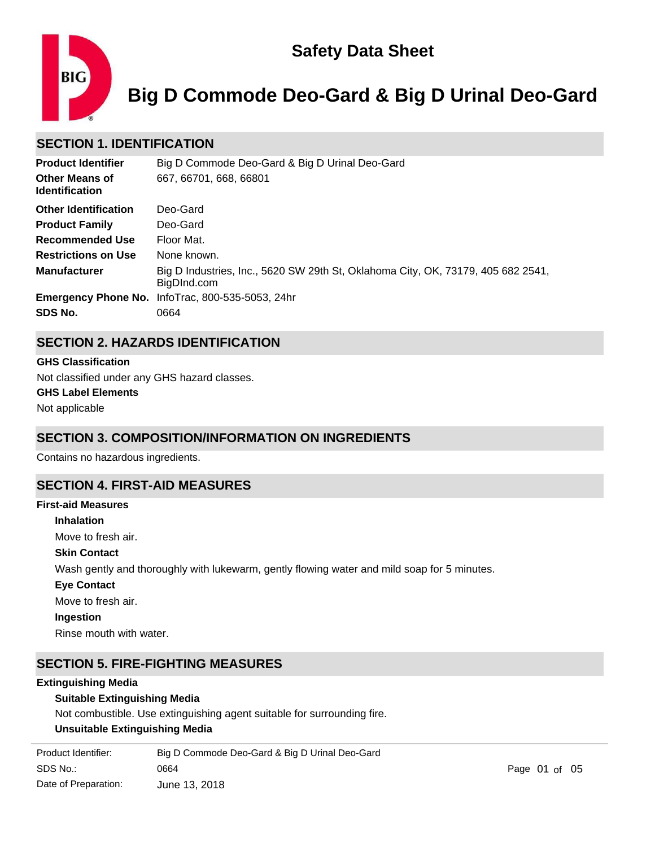

# **Big D Commode Deo-Gard & Big D Urinal Deo-Gard**

# **SECTION 1. IDENTIFICATION**

| <b>Product Identifier</b>                      | Big D Commode Deo-Gard & Big D Urinal Deo-Gard                                                  |
|------------------------------------------------|-------------------------------------------------------------------------------------------------|
| <b>Other Means of</b><br><b>Identification</b> | 667, 66701, 668, 66801                                                                          |
| <b>Other Identification</b>                    | Deo-Gard                                                                                        |
| <b>Product Family</b>                          | Deo-Gard                                                                                        |
| <b>Recommended Use</b>                         | Floor Mat.                                                                                      |
| <b>Restrictions on Use</b>                     | None known.                                                                                     |
| <b>Manufacturer</b>                            | Big D Industries, Inc., 5620 SW 29th St, Oklahoma City, OK, 73179, 405 682 2541,<br>BigDInd.com |
|                                                | <b>Emergency Phone No.</b> InfoTrac, 800-535-5053, 24hr                                         |
| SDS No.                                        | 0664                                                                                            |

# **SECTION 2. HAZARDS IDENTIFICATION**

#### **GHS Classification**

Not classified under any GHS hazard classes.

# **GHS Label Elements**

Not applicable

# **SECTION 3. COMPOSITION/INFORMATION ON INGREDIENTS**

Contains no hazardous ingredients.

# **SECTION 4. FIRST-AID MEASURES**

# **Inhalation** Move to fresh air. **Skin Contact** Wash gently and thoroughly with lukewarm, gently flowing water and mild soap for 5 minutes. **Eye Contact** Move to fresh air. **Ingestion** Rinse mouth with water. **First-aid Measures**

# **SECTION 5. FIRE-FIGHTING MEASURES**

#### **Extinguishing Media**

#### **Suitable Extinguishing Media**

Not combustible. Use extinguishing agent suitable for surrounding fire.

### **Unsuitable Extinguishing Media**

| Product Identifier:  | Big D Commode Deo-Gard & Big D Urinal Deo-Gard |
|----------------------|------------------------------------------------|
| SDS No.:             | 0664                                           |
| Date of Preparation: | June 13, 2018                                  |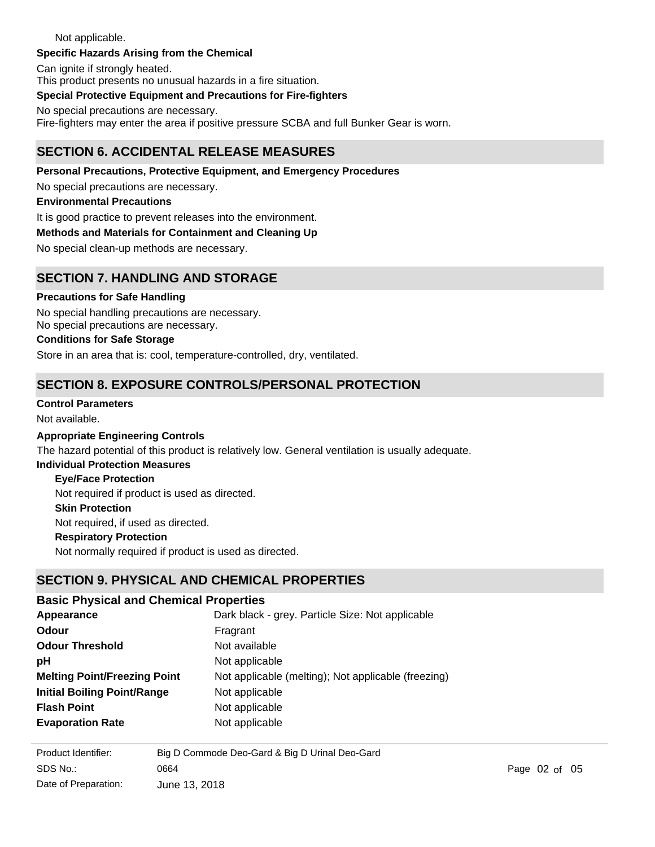#### Not applicable. **Specific Hazards Arising from the Chemical**

Can ignite if strongly heated.

This product presents no unusual hazards in a fire situation.

#### **Special Protective Equipment and Precautions for Fire-fighters**

No special precautions are necessary. Fire-fighters may enter the area if positive pressure SCBA and full Bunker Gear is worn.

# **SECTION 6. ACCIDENTAL RELEASE MEASURES**

### **Personal Precautions, Protective Equipment, and Emergency Procedures**

No special precautions are necessary.

#### **Environmental Precautions**

It is good practice to prevent releases into the environment.

#### **Methods and Materials for Containment and Cleaning Up**

No special clean-up methods are necessary.

# **SECTION 7. HANDLING AND STORAGE**

#### **Precautions for Safe Handling**

No special handling precautions are necessary. No special precautions are necessary.

#### **Conditions for Safe Storage**

Store in an area that is: cool, temperature-controlled, dry, ventilated.

# **SECTION 8. EXPOSURE CONTROLS/PERSONAL PROTECTION**

#### **Control Parameters**

Not available.

#### **Appropriate Engineering Controls**

The hazard potential of this product is relatively low. General ventilation is usually adequate.

### **Individual Protection Measures**

#### **Eye/Face Protection**

Not required if product is used as directed.

#### **Skin Protection**

Not required, if used as directed.

#### **Respiratory Protection**

**Upper/Lower Flammability or**

Not normally required if product is used as directed.

# **SECTION 9. PHYSICAL AND CHEMICAL PROPERTIES**

#### **Basic Physical and Chemical Properties**

| Appearance                          | Dark black - grey. Particle Size: Not applicable    |
|-------------------------------------|-----------------------------------------------------|
| Odour                               | Fragrant                                            |
| <b>Odour Threshold</b>              | Not available                                       |
| рH                                  | Not applicable                                      |
| <b>Melting Point/Freezing Point</b> | Not applicable (melting); Not applicable (freezing) |
| <b>Initial Boiling Point/Range</b>  | Not applicable                                      |
| <b>Flash Point</b>                  | Not applicable                                      |
| <b>Evaporation Rate</b>             | Not applicable                                      |

Not applicable (upper); Not applicable (lower)

| Product Identifier:  | Big D Commode Deo-Gard & Big D Urinal Deo-Gard |
|----------------------|------------------------------------------------|
| SDS No.:             | 0664                                           |
| Date of Preparation: | June 13, 2018                                  |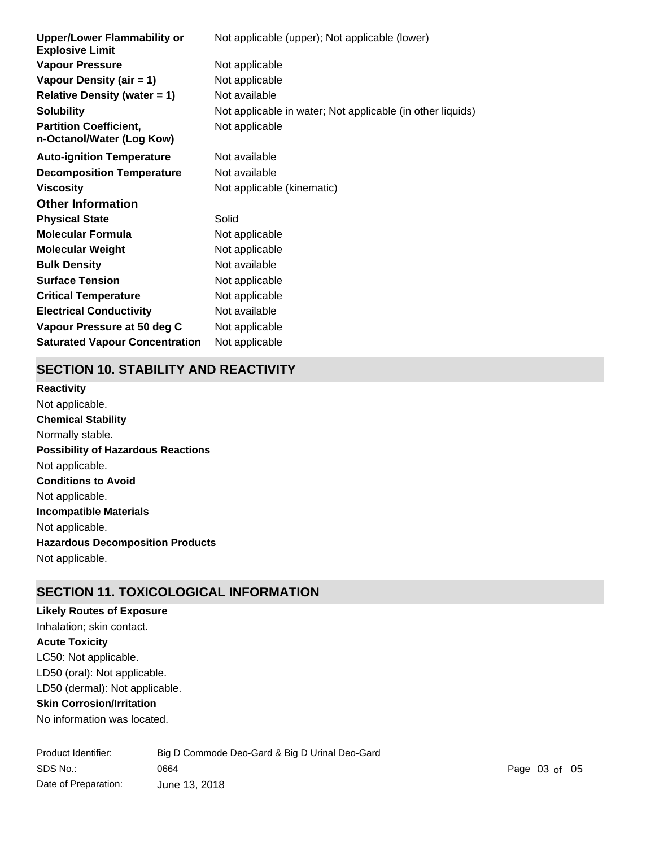| <b>Upper/Lower Flammability or</b><br><b>Explosive Limit</b> | Not applicable (upper); Not applicable (lower)             |
|--------------------------------------------------------------|------------------------------------------------------------|
| <b>Vapour Pressure</b>                                       | Not applicable                                             |
| Vapour Density (air = 1)                                     | Not applicable                                             |
| <b>Relative Density (water = 1)</b>                          | Not available                                              |
| <b>Solubility</b>                                            | Not applicable in water; Not applicable (in other liquids) |
| <b>Partition Coefficient,</b><br>n-Octanol/Water (Log Kow)   | Not applicable                                             |
| <b>Auto-ignition Temperature</b>                             | Not available                                              |
| <b>Decomposition Temperature</b>                             | Not available                                              |
| <b>Viscosity</b>                                             | Not applicable (kinematic)                                 |
| <b>Other Information</b>                                     |                                                            |
| <b>Physical State</b>                                        | Solid                                                      |
| <b>Molecular Formula</b>                                     | Not applicable                                             |
| <b>Molecular Weight</b>                                      | Not applicable                                             |
| <b>Bulk Density</b>                                          | Not available                                              |
| <b>Surface Tension</b>                                       | Not applicable                                             |
| <b>Critical Temperature</b>                                  | Not applicable                                             |
| <b>Electrical Conductivity</b>                               | Not available                                              |
| Vapour Pressure at 50 deg C                                  | Not applicable                                             |
| <b>Saturated Vapour Concentration</b>                        | Not applicable                                             |

### **SECTION 10. STABILITY AND REACTIVITY**

**Chemical Stability** Normally stable. **Conditions to Avoid** Not applicable. **Incompatible Materials** Not applicable. **Hazardous Decomposition Products** Not applicable. **Possibility of Hazardous Reactions** Not applicable. **Reactivity** Not applicable.

# **SECTION 11. TOXICOLOGICAL INFORMATION**

### **Likely Routes of Exposure**

LC50: Not applicable. LD50 (oral): Not applicable. **Skin Corrosion/Irritation** LD50 (dermal): Not applicable. **Acute Toxicity** Inhalation; skin contact.

No information was located.

SDS No.: Date of Preparation: 0664 Page 03 of 05 June 13, 2018 Product Identifier: Big D Commode Deo-Gard & Big D Urinal Deo-Gard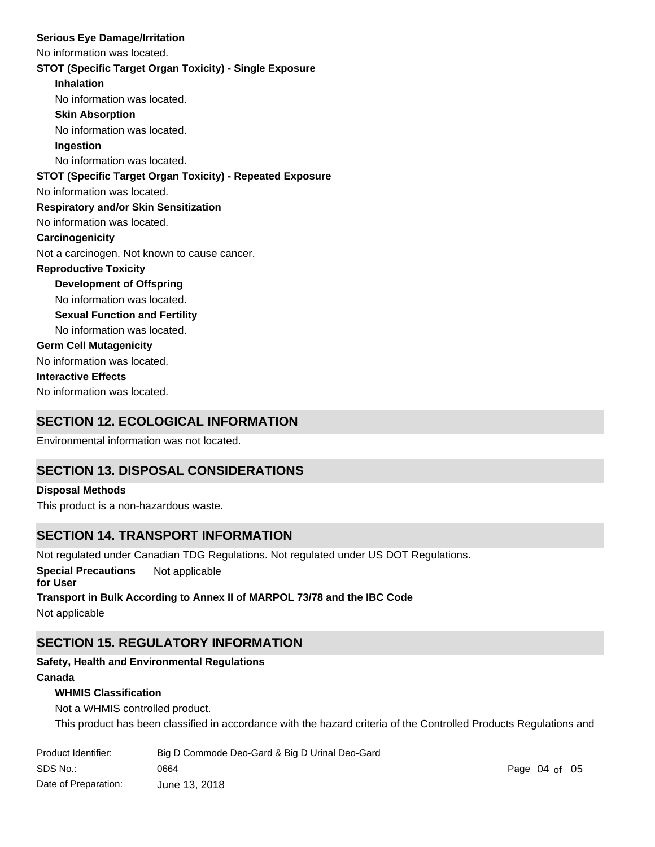#### **Serious Eye Damage/Irritation**

No information was located.

#### **STOT (Specific Target Organ Toxicity) - Single Exposure**

**Inhalation** No information was located. **Skin Absorption** No information was located. **Ingestion** No information was located. No information was located. **STOT (Specific Target Organ Toxicity) - Repeated Exposure Respiratory and/or Skin Sensitization** No information was located. **Carcinogenicity** Not a carcinogen. Not known to cause cancer. **Development of Offspring** No information was located. **Reproductive Toxicity** No information was located. **Germ Cell Mutagenicity** No information was located. **Interactive Effects** No information was located. **Sexual Function and Fertility**

# **SECTION 12. ECOLOGICAL INFORMATION**

Environmental information was not located.

# **SECTION 13. DISPOSAL CONSIDERATIONS**

#### **Disposal Methods**

This product is a non-hazardous waste.

# **SECTION 14. TRANSPORT INFORMATION**

Not regulated under Canadian TDG Regulations. Not regulated under US DOT Regulations.

**Special Precautions** Not applicable

# **for User Transport in Bulk According to Annex II of MARPOL 73/78 and the IBC Code**

Not applicable

# **SECTION 15. REGULATORY INFORMATION**

# **Safety, Health and Environmental Regulations**

### **Canada**

### **WHMIS Classification**

Not a WHMIS controlled product.

This product has been classified in accordance with the hazard criteria of the Controlled Products Regulations and

| Product Identifier:  | Big D Commode Deo-Gard & Big D Urinal Deo-Gard |               |  |
|----------------------|------------------------------------------------|---------------|--|
| SDS No.:             | 0664                                           | Page 04 of 05 |  |
| Date of Preparation: | June 13. 2018                                  |               |  |